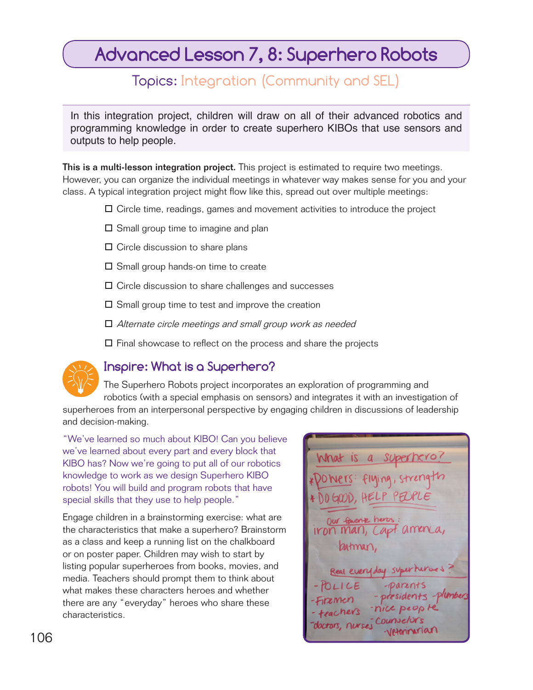# **Advanced Lesson 7, 8: Superhero Robots**

## Topics: Integration (Community and SEL)

In this integration project, children will draw on all of their advanced robotics and programming knowledge in order to create superhero KIBOs that use sensors and outputs to help people.

This is a multi-lesson integration project. This project is estimated to require two meetings. However, you can organize the individual meetings in whatever way makes sense for you and your class. A typical integration project might flow like this, spread out over multiple meetings:

- Circle time, readings, games and movement activities to introduce the project
- $\square$  Small group time to imagine and plan
- $\square$  Circle discussion to share plans
- $\square$  Small group hands-on time to create
- $\Box$  Circle discussion to share challenges and successes
- $\square$  Small group time to test and improve the creation
- □ Alternate circle meetings and small group work as needed
- $\square$  Final showcase to reflect on the process and share the projects



### **Inspire: What is a Superhero?**

The Superhero Robots project incorporates an exploration of programming and robotics (with a special emphasis on sensors) and integrates it with an investigation of superheroes from an interpersonal perspective by engaging children in discussions of leadership

and decision-making.

"We've learned so much about KIBO! Can you believe we've learned about every part and every block that KIBO has? Now we're going to put all of our robotics knowledge to work as we design Superhero KIBO robots! You will build and program robots that have special skills that they use to help people."

Engage children in a brainstorming exercise: what are the characteristics that make a superhero? Brainstorm as a class and keep a running list on the chalkboard or on poster paper. Children may wish to start by listing popular superheroes from books, movies, and media. Teachers should prompt them to think about what makes these characters heroes and whether there are any "everyday" heroes who share these characteristics.

What Is a Supernero!  $D0600D, HEL$ Our fournie 106 and 106 and 108 and 108 and 108 and 108 and 108 and 108 and 108 and 108 and 108 and 108 and 108 and 108 and 108 and 108 and 108 and 108 and 108 and 108 and 108 and 108 and 108 and 108 and 108 and 108 and 108 and 108 an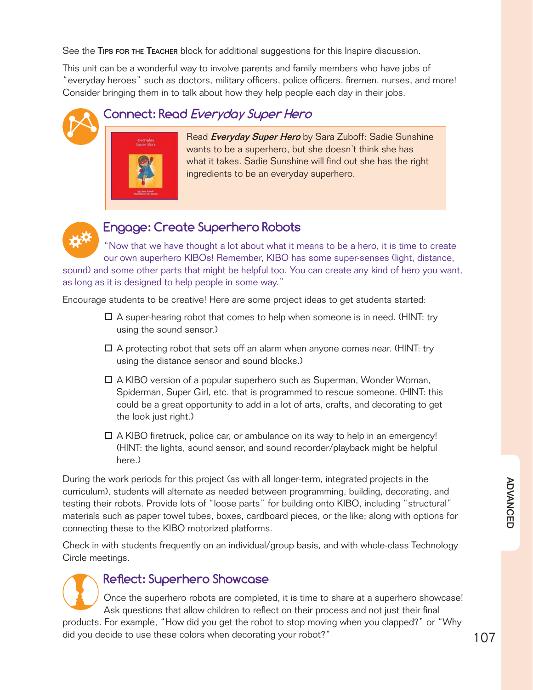See the TIPS FOR THE TEACHER block for additional suggestions for this Inspire discussion.

This unit can be a wonderful way to involve parents and family members who have jobs of "everyday heroes" such as doctors, military officers, police officers, firemen, nurses, and more! Consider bringing them in to talk about how they help people each day in their jobs.

### **Connect: Read Everyday Super Hero**



Read *Everyday Super Hero* by Sara Zuboff: Sadie Sunshine wants to be a superhero, but she doesn't think she has what it takes. Sadie Sunshine will find out she has the right ingredients to be an everyday superhero.



### **Engage: Create Superhero Robots**

"Now that we have thought a lot about what it means to be a hero, it is time to create our own superhero KIBOs! Remember, KIBO has some super-senses (light, distance, sound) and some other parts that might be helpful too. You can create any kind of hero you want, as long as it is designed to help people in some way."

Encourage students to be creative! Here are some project ideas to get students started:

- $\Box$  A super-hearing robot that comes to help when someone is in need. (HINT: try using the sound sensor.)
- $\Box$  A protecting robot that sets off an alarm when anyone comes near. (HINT: try using the distance sensor and sound blocks.)
- A KIBO version of a popular superhero such as Superman, Wonder Woman, Spiderman, Super Girl, etc. that is programmed to rescue someone. (HINT: this could be a great opportunity to add in a lot of arts, crafts, and decorating to get the look just right.)
- $\Box$  A KIBO firetruck, police car, or ambulance on its way to help in an emergency! (HINT: the lights, sound sensor, and sound recorder/playback might be helpful here.)

During the work periods for this project (as with all longer-term, integrated projects in the curriculum), students will alternate as needed between programming, building, decorating, and testing their robots. Provide lots of "loose parts" for building onto KIBO, including "structural" materials such as paper towel tubes, boxes, cardboard pieces, or the like; along with options for connecting these to the KIBO motorized platforms.

Check in with students frequently on an individual/group basis, and with whole-class Technology Circle meetings.



#### Reflect: Superhero Showcase

Once the superhero robots are completed, it is time to share at a superhero showcase! Ask questions that allow children to reflect on their process and not just their final

did you decide to use these colors when decorating your robot?"  $\hphantom{\text{15}}$  107 products. For example, "How did you get the robot to stop moving when you clapped?" or "Why